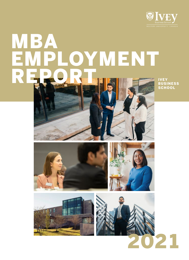

# MBA OYMENT REPORT

IVEY BUSINESS **SCHOOL** 







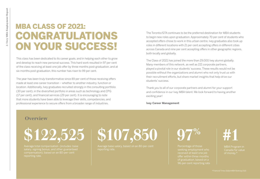### **Overview**

## MBA CLASS OF 2021: CONGRATULATIONS ON YOUR SUCCESS!

This class has been dedicated to its career goals, and in helping each other to grow and develop to reach new personal success. This hard work resulted in 97 per cent of the class receiving at least one job offer by three months post-graduation, and at six months post-graduation, this number has risen to 99 per cent.

The year has been truly transformative since 89 per cent of those receiving offers made at least one career transition – whether to another industry, function or location. Additionally, Ivey graduates recruited strongly in the consulting portfolio (30 per cent), in the diversified portfolio in areas such as technology and CPG (17 per cent), and financial services (29 per cent). It is encouraging to note that more students have been able to leverage their skills, competencies, and professional experience to secure offers from a broader range of industries.

The Toronto/GTA continues to be the preferred destination for MBA students to begin new roles upon graduation. Approximately 70 per cent of students who accepted offers chose to work in this urban centre. Ivey graduates also took up roles in different locations with 21 per cent accepting offers in different cities across Canada and nine per cent accepting offers in other geographic regions, both locally and globally.

The Class of 2021 has joined the more than 29,000 Ivey alumni globally. Many members of this network, as well as 221 corporate partners, played a pivotal role in our students' success. These results would not be possible without the organizations and alumni who not only trust us with their recruitment efforts, but share market insights that help drive our students' success.

Thank you to all of our corporate partners and alumni for your support and confidence in our Ivey MBA talent. We look forward to having another exciting year!

**Ivey Career Management**

**\$122,525**

Average total compensation (includes: base salary, signing bonus, and other guaranteed compensation), based on an 80-per-cent reporting rate.

**\$107,850**

Average base salary, based on an 80-per-cent reporting rate.

# **#1**

MBA Program in Canada for value of money.\*

**97%**

Percentage of those seeking employment who received at least one job offer within three months of graduation, based on a 96-per-cent reporting rate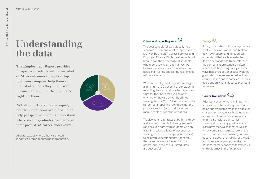## **Understanding the data**

The Employment Report provides prospective students with a snapshot of MBA outcomes to see how top programs compare, help them cull the list of schools they might want to consider, and find the one that's right for them.

Not all reports are created equal, but their intentions are the same: to help prospective students understand where recent graduates have gone in their post-MBA career endeavours.

All data, except where otherwise noted, is captured three-months post-graduation. The best schools follow a globally held standard of how and what to report, which is driven by the MBA Career Services and Employer Alliance. While most schools will break down the percentage of students who report having an offer, at Ivey, we believe transparency and detail are the basis of a trusting and lasting relationship with our students.

We also detail offer rates at both the threeand six-month points following graduation (and exclude data from students who are travelling, taking a leave of absence, or seeking entrepreneurship opportunities) to help you understand that, for some, the career journey is longer than for others, but, in the end, our graduates are successful.

With our Employment Reports, we target a minimum of 90 per cent of our students reporting their job status, which specifies whether they have received an offer or whether they are currently still jobseeking. For the 2021 MBA class, we had a 96-per-cent reporting rate three months post-graduation (which tells you how many people provided information).

## **Salary**<sup>(\$)</sup>

Salary is reported both at an aggregate level for the class overall and broken down by industry and function. We understand that each industry has its own demands and trade-offs, and the compensation standards often reflect that. Reporting salary in these ways helps you better assess what the graduates have self-reported as their compensation and in some cases make decisions on what industries they want to pursue.

### **Career transitions**

Prior work experience is an important admissions criteria at Ivey, and it often helps our graduates make their desired changes to new geographies, industries, and/or functions in new companies or in their previous companies. Looking at how many graduates in a class have made a change, as well as which companies came to look at the talent, may help you answer your own questions about the viability of the MBA and its role in helping you make the personal career change that started you on this journey in the first place.



### **Offers and reporting rate**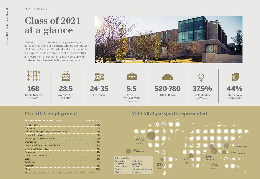| <b>PRE-MBA INDUSTRY OF EMPLOYMENT</b>    | <b>PERCENTAGE</b> |
|------------------------------------------|-------------------|
| <b>Financial Services</b>                | 25%               |
| Consulting                               | 22%               |
| Consumer Packaged Goods/Wholesale/Retail | 7%                |
| Energy & Resources                       | 7%                |
| Technology/Telecommunications            | 7%                |
| Engineering                              | 4%                |
| Healthcare/Pharmaceuticals/Medical       | 4%                |
| Marketing/PR/Advertising                 | 4%                |
| Government                               | 3%                |
| Charities/Not-for-Profit                 | 2%                |
| Legal                                    | 2%                |
| <b>Real Estate</b>                       | 2%                |
| Automotive                               | 2%                |
| Other                                    | 11%               |

## **Pre-MBA employment MBA 2021 passports represented**

International **Citizenship** 

Diversity of industries, functions, geography, and perspectives is one of the many strengths of the Ivey MBA. With a focus on Case-Method and experiential learning, students are able to challenge each other and learn from one another as they come up with strategies to solve real-life business problems.



# **Class of 2021 at a glance**





MBA CLASS OF 2021

**Other includes:** Construction, Education, Environmental, Manufacturing, Tourism/Leisure/Entertainment, Unknown.



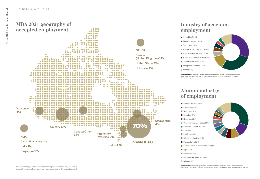# **Industry of accepted**





**Other includes:** Automotive, Charities/Non-Profit, Chemicals/Plastics, Government, Healthcare, Legal, Marketing/Advertising, Media/Entertainment, Retail, Tourism/Leisure, Transportation/

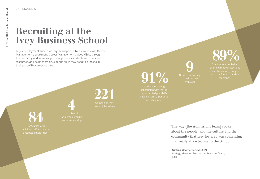Ivey's employment success is largely supported by its world-class Career Management department. Career Management guides MBAs through the recruiting and interview process, provides students with tools and resources, and helps them develop the skills they need to succeed in their post-MBA career journey.

# **Recruiting at the Ivey Business School**

**84**

Companies with which our MBA students accepted employment

Grads who accepted an **89%**

offer and made at least one career transition (change in geography)

**221**

Companies that

Students reporting satisfaction with the job they accepted post-MBA, reporting rate

Students returning **9** to their former employer

**91%**

**4** Number of students pursuing entrepreneurship

> "The way [the Admissions team] spoke about the people, and the culture and the community that Ivey fostered was something that really attracted me to the School."

**Kristina Weatherbee, MBA '21** Strategy Manager, Business Architecture Team, Telus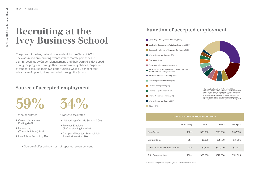|                               | % Receiving | Min \$   | Max \$    | Average \$ |
|-------------------------------|-------------|----------|-----------|------------|
| <b>Base Salary</b>            | 100%        | \$30,000 | \$219,000 | \$107,850  |
| <b>Signing Bonus</b>          | 38%         | \$1,000  | \$78,700  | \$16,266   |
| Other Guaranteed Compensation | 24%         | \$1,300  | \$101,000 | \$22,887   |
| <b>Total Compensation</b>     | 100%        | \$30,000 | \$272,000 | \$122,525  |

**Other includes:** Consulting – IT/Technology Digital;<br>Consulting – Human Capital; Consulting – Operations/Supply

## **Recruiting at the Ivey Business School**

- Career Management Posting **44%**
- Networking (Through School) **14%**
- Law School Recruiting **1%**

The power of the Ivey network was evident for the Class of 2021. The class relied on recruiting events with corporate partners and alumni, postings by Career Management, and their own skills developed during the program. Through their own networking abilities, 34 per cent of students secured their own opportunities, while 59 per cent took advantage of opportunities promoted through the School.

## **Source of accepted employment**



Graduate-facilitated

School-facilitated

- Networking (Outside School) **20%**
- **Previous Employer** (Before starting Ivey) **1%**
- Company Websites, External Job Boards/LinkedIn **13%**
- Source of offer unknown or not reported: seven per cent



## **Function of accepted employment**

\* based on 80-per-cent reporting rate of salary detail for class.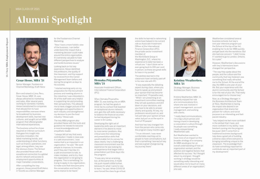# **Alumni Spotlight**

Born and raised in Lima, Peru, Cesar Hesse, MBA '21, was always attracted to marketing and sales. After several years working for domestic markets, Hesse transitioned to companies that allowed him to have responsibilities overseas where he broadened his business development skills, learned new cultures, and sought out an MBA program that offered greater international experiences.

The business school he chose required an intense curriculum that gave him insight into business innovation, the latest marketing trends, and understanding of other functions, such as finance, operations, and legal, among others. Ivey was the obvious choice. The School also provided Hesse with an exceptional connection to a global alumni network and access to employment opportunities at major Canadian corporations.

After completing the Ivey program, Hesse joined Kraft Heinz in Toronto as a Senior Manager

When Hemaka Priyanatha, MBA '21, was looking into an MBA program, he had two goals in mind: Go to a school that boasted an exceptional alumni network; and, gain the soft skills necessary to balance the financial acumen he had developed during his career in Sri Lanka.

Developing the right set of leadership skills was an important element in his desire to move to more senior positions. Also critical were the networking and presentation skills that would enable him to convey his ideas clearly. Ivey's challenging classroom environment was the experience he was looking for, an experience that began with a presentation just three days into the program.

"It was very nerve-wracking, but, at the same time, it made me push myself a little further, because it's what I came to Ivey to learn," he said. While COVID-19 soon forced the class to go virtual, Kristina Weatherbee, MBA '21, certainly enjoyed her role at a communications firm, where she was involved in project management, account management, and working with clients.

"I always felt at Ivey that every contribution I made in class was in a safe environment. I now realize that is so important in an organization," he said. "We want people to improve, to innovate, and if they don't feel like it's a safe environment to talk, to make mistakes, and to try, then the organization is not going to progress. This is something I'm trying to apply in my organization, to make sure that everyone joins the conversation and has the same chance to be heard."



"I really liked communications. I'm a big culture person and having a hand in developing a corporation's culture through its people was something I really enjoyed doing," Weatherbee said.

But Weatherbee wanted to have more of an impact on the broader strategy of a company. An MBA would give her an overall understanding of how an organization worked, and the positive and negative factors that affected its success. "As I thought about my end goal, I thought working in strategy would be something really interesting and would allow me to touch on many different areas of an organization," she said.



**Cesar Hesse, MBA '21** Senior Manager, Foodservice Channel Marketing, Kraft Heinz

#### **Hemaka Priyanatha, MBA '21**

Associate Investment Officer, International Finance Corporation (IFC)

### **Kristina Weatherbee, MBA '21**

Strategy Manager, Business Architecture Team, Telus

for the Foodservice Channel Marketing.

"Now I have a more holistic view of the business. I can better understand the impact that a marketing decision could make around the entire organization. It's extremely valuable to have different perspectives to analyze and tackle business issues."

Looking back on his Ivey experience, Hesse identified the professors, the quality of the classroom, and the support he received from the Career Management team before and during the program as keys to his success.

"I started working early on my preparation for the recruitment process and meeting alumni in the industries I was interested in. All of the staff were very helpful in supporting me and providing their perspectives. This allowed me to have a bigger picture of the challenges and opportunities in each industry and strengthened my decision to join the food industry," Hesse said.

The Ivey MBA program also provided Hesse with the tools and guidance he needed to become a more knowledgeable and empathetic leader.

the skills he learned in networking online have helped in his current role as Associate Investment Officer at the International Finance Corporation (IFC), the private-sector investment member of the World Bank Group in Washington, D.C., where his experience to date has been a virtual one. "I don't think we're ever going back to 100-per-cent in person, so these are great skills to have in my pocket."

The abilities learned in the classroom have certainly paid off in his new role with IFC.

"It was especially the debating aspect during class, where you have to speak up and present your opinion that has become so important," Priyanatha said. "When I am presenting at an investment committee meeting, they will ask questions and drill down on your decisions, and you have to be able to answer clearly and quickly. At Ivey, my professors would push us, and not just take your opinion at face value, but put us on the spot in front of 70 people."

And how has Ivey changed him from the person who came into the program many months ago?

"I'm an introvert. I was never comfortable reaching out to people to have conversations, but that is something I learned at Ivey and was a great change during my journey there."



Weatherbee considered several business schools, but Ivey's one-year intensive program put the School at the top of her list, enabling her to do her MBA quickly and get back into the workforce. But she had one concern: "I didn't know if I wanted to go to London, Ontario, for a year."

However, Weatherbee's discussions with Ivey's Admissions team changed her perspective.

"The way they spoke about the people, and the culture and the community that Ivey fostered, was something that really attracted me to the School. At the end of the day, the MBA is one year of your life. But your experience with the alumni community and the School is for the rest of your life. That really encouraged me to choose Ivey."

Now, as a Strategy Manager in the Business Architecture Team at Telus, Weatherbee is having the impact she desired in an organization that shares her passion for culture, and social purpose in an interesting and fastpaced industry.

"Ivey helped me feel more confident in the skillset that I have, and more confident in my ability. I was hesitant coming into the program because I didn't come from a traditional business background. Ivey does a great job of building a diverse class where everyone is bringing something unique to the classroom. The knowledge that I do have something important to contribute was an important part of my development."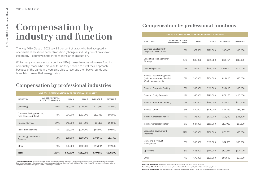# **Compensation by industry and function**

The Ivey MBA Class of 2021 saw 89 per cent of grads who had accepted an offer make at least one career transition (change in industry, function and/or geography – country) in the three months after graduation.

While many students embark on their MBA journey to move into a new function or industry, those who, this year, found they needed to pivot their approach because of the pandemic were also able to leverage their backgrounds and branch into areas that were growing.

## **Compensation by professional industries**

#### **ESSIONAL FUNCTION**

**Other industries include:** Arts/Media/Entertainment, Automotive, Charities/Non-Profit, Chemicals/Plastics, Construction, Environmental Services/Cleantech, Government, Healthcare – Pharmaceuticals/Biotech, Legal, Manufacturing, Marketing/Public Relations/Advertising, Metals/Mining/Quarrying, Tourism/Leisure, Transportation/Distribution/Logistics, Utilities – Electricity/Gas/Water.

## **Compensation by professional functions**

**Other functions include:** Data Analytics, Human Resources, Research and Development, and Sales. **Consulting – Other includes:** Financial Advisory, Human Capital, IT/Technology/Digital, and Operations/Supply Chain. **Finance – Other includes:** Commercial Banking, Operations, Private Equity, Venture Capital, Real Estate, Retail Banking, and Sales & Trading.

|                                                     | <b>MBA 2021 COMPENSATION BY PROFESSIONAL INDUSTRY</b> |                   |           |                   |                  |
|-----------------------------------------------------|-------------------------------------------------------|-------------------|-----------|-------------------|------------------|
| <b>INDUSTRY</b>                                     | % SHARE OF TOTAL<br><b>REPORTED SALARIES</b>          | MIN <sub>\$</sub> | MAX \$    | <b>AVERAGE \$</b> | <b>MEDIAN \$</b> |
| Consulting                                          | 30%                                                   | \$83,000          | \$219,000 | \$127,719         | \$115,000        |
| Consumer Packaged Goods,<br>Food Services, & Retail | 8%                                                    | \$84,000          | \$162,000 | \$107.333         | \$95,000         |
| <b>Financial Services</b>                           | 27%                                                   | \$40,000          | \$154,000 | \$96,121          | \$90,000         |
| Telecommunications                                  | 4%                                                    | \$80,000          | \$120,000 | \$96,500          | \$93,000         |
| Technology - Software &<br><b>Services</b>          | 13%                                                   | \$69,600          | \$150,000 | \$108,660         | \$107,360        |
| Other                                               | 19%                                                   | \$30,000          | \$150,000 | \$95,004          | \$92,500         |
| <b>Total</b>                                        | 100%                                                  | \$30,000          | \$219,000 | \$107,850         | \$100,000        |

|                                                                                      |                                              |             | MBA 2021 COMPENSATION BY PROFESSIONAL FUNCTION |                   |                  |
|--------------------------------------------------------------------------------------|----------------------------------------------|-------------|------------------------------------------------|-------------------|------------------|
| <b>FUNCTION</b>                                                                      | % SHARE OF TOTAL<br><b>REPORTED SALARIES</b> | <b>MINS</b> | MAX \$                                         | <b>AVERAGE \$</b> | <b>MEDIAN \$</b> |
| Business Development/<br>Corporate Development                                       | 5%                                           | \$69,600    | \$120,000                                      | \$96,420          | \$90,000         |
| Consulting - Management/<br>Strategy                                                 | 29%                                          | \$83,000    | \$219,000                                      | \$126,774         | \$115,000        |
| Consulting - Other                                                                   | 5%                                           | \$85,000    | \$155,000                                      | \$109,000         | \$105,000        |
| Finance - Asset Management<br>(includes Investment, Portfolio,<br>Wealth Management) | 3%                                           | \$90,000    | \$154,000                                      | \$113,000         | \$95,000         |
| Finance - Corporate Banking                                                          | 3%                                           | \$88,000    | \$110,000                                      | \$96,000          | \$90,000         |
| Finance - Equity Research                                                            | 4%                                           | \$85,000    | \$120,000                                      | \$101,250         | \$100,000        |
| Finance - Investment Banking                                                         | 4%                                           | \$90,000    | \$135,000                                      | \$110,000         | \$107,500        |
| Finance - Other                                                                      | 6%                                           | \$40,000    | \$125,000                                      | \$82,869          | \$85,080         |
| Internal Corporate Finance                                                           | 4%                                           | \$76,000    | \$120,000                                      | \$106,750         | \$115,500        |
| Internal Corporate Strategy                                                          | 6%                                           | \$84,000    | \$150,000                                      | \$107,083         | \$97,500         |
| Leadership Development<br>Programs                                                   | 17%                                          | \$80,000    | \$162,000                                      | \$106,301         | \$95,000         |
| Marketing & Product<br>Management                                                    | 8%                                           | \$30,000    | \$118,000                                      | \$84,556          | \$90,000         |
| Operations                                                                           | 5%                                           | \$65,000    | \$144,000                                      | \$102,144         | \$106,720        |
| Other                                                                                | 4%                                           | \$70,000    | \$120,000                                      | \$96,000          | \$97,000         |

|                | % SHARE OF TOTAL<br><b>REPORTED SALARIES</b> | <b>MIN \$</b> | MAX\$     | <b>AVERAGE \$</b> | <b>MEDIAN \$</b> |
|----------------|----------------------------------------------|---------------|-----------|-------------------|------------------|
|                | 5%                                           | \$69,600      | \$120,000 | \$96,420          | \$90,000         |
|                | 29%                                          | \$83,000      | \$219,000 | \$126,774         | \$115,000        |
|                | 5%                                           | \$85,000      | \$155,000 | \$109,000         | \$105,000        |
| ent<br>:folio, | 3%                                           | \$90,000      | \$154,000 | \$113,000         | \$95,000         |
| ng             | 3%                                           | \$88,000      | \$110,000 | \$96,000          | \$90,000         |
|                | 4%                                           | \$85,000      | \$120,000 | \$101,250         | \$100,000        |
| king           | 4%                                           | \$90,000      | \$135,000 | \$110,000         | \$107,500        |
|                | 6%                                           | \$40,000      | \$125,000 | \$82,869          | \$85,080         |
| e              | 4%                                           | \$76,000      | \$120,000 | \$106,750         | \$115,500        |
| ӽУ             | 6%                                           | \$84,000      | \$150,000 | \$107,083         | \$97,500         |
|                | 17%                                          | \$80,000      | \$162,000 | \$106,301         | \$95,000         |
|                | 8%                                           | \$30,000      | \$118,000 | \$84,556          | \$90,000         |
|                | 5%                                           | \$65,000      | \$144,000 | \$102,144         | \$106,720        |
|                | 4%                                           | \$70,000      | \$120,000 | \$96,000          | \$97,000         |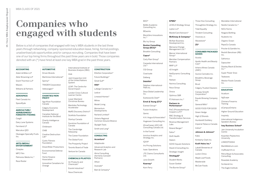## **Companies who engaged with students**

Below is a list of companies that engaged with Ivey's MBA students in the last three years through networking, company-sponsored education leave, hiring, formal postings, unadvertised job opportunities and/or campus recruiting. Companies that have been one of our top hiring firms throughout the past three years are in bold. Those companies denoted with an (\*) have hired at least one Ivey MBA grad in the past three years.

**Cineplex** MPC Film

#### **ACCOUNTING**

| Adam & Miles I I P        |
|---------------------------|
| Akler Browning LLP        |
| <b>Grant Thornton LLP</b> |
| Mazars                    |
| Williams & Partners       |

#### **AEROSPACE**

Fleet Canada Inc

SpaceRyde

#### **AGRICULTURE/ AGRIBUSINESS/ FORESTRY/FISHING**

Cargill Dairy Lane Systems Farmland LP Marcatus QED Okanagan Specialty Fruits Inc.

#### **ARTS/MEDIA/ ENTERTAINMENT**

MaRS Discovery District\* SickKids Foundation

Pelmorex Media Inc.\*

Race Roster

### **AUTOMOTIVE**

Driven Brands Martinrea International\* Spinny\* TRADER Corporation Volkswagen\*

#### **CHARITIES/NON-PROFIT**

Aga Khan Foundation Canada

**Mitrex** Model Living

Calgary Economic Development

Canadian National Institute for the Blind

Charity Intelligence Canada

Childreach

CNIB

Creative Destruction Lab\*

Cystic Fibrosis

BlockZero Innovations  $Inc.*$ 

Foundation DreamRider Productions

Environmental Defense Fund

Carpedia International Ltd.<sup>\*</sup>

Home Hospice Association Innovative Canadians for Change

Delphos International -FMA Inc.

### International Institute of Business Analysis (IIBA)

itrek Joint Inspection Unit of the United Nations System

> LEAP: The Centre for Social Impact

London Cross Cultural Learner Centre

Lower Mainland Christmas Bureau

Manitoba Technology Accelerator

Startup Canada Sunshine Foundation of

Canada The Cansbridge

Fellowship The Career Foundation

The Global Fund

The Prosperity Project

Toronto Board of Trade Venture for Canada

### **CHEMICALS/PLASTICS**

Air Products and Chemicals\*

Evonik Industries\* Nova Chemicals

**CONSTRUCTION**

EllisDon Corporation\* Future Buildings\*

> Great Gulf\* **Hilti\***

Lafarge Canada Inc.\*

Ledcor

Linwood Homes\*

Momentum Developments

Norland Limited\*

Ontario Regional Common Ground Alliance

Skylight Tools

Smith and Long\*

#### **CONSULTING**

### **Accenture\***

Adaptovate

Advanced Analytics and Research Lab

Stanley Black & Decker,  $Inc^*$ 

Ahria Consulting (formerly Carswell Partners)

Chimera Firearms **Training** 

Athari

Avanade\*

Bain & Company\*

BDO\*

BeMo Academic Consulting Inc.

BEworks

Kwantlen Polytechnic **University** 

Blu Ivy Group

Petra Mayer & Associates **Consulting** 

**Boston Consulting Group (BCG)\***

Brooklin Consulting **Capco\***

Carly Rian Group\*

CGI Group Coactuate

Dalberg

**Deloitte\***

Desa Global Leadership Inc.

Eastwood & Cleef\*

**Ernst & Young (EY)\*** Everest Group\*

Fusion Analytics

Gemic H.H. Angus & Associates\*

Hugessen Consulting Inc.

iDriveCareer (iDC) HR Consulting Canada Ltd. In the Funnel

Invictus Analytics and Strategy Inc.

IQVIA\* Iris Pricing Solutions

Isaac Operations

JTE Claims Consultants Ltd.

Juno Growth

**Kearney\***

Korn Ferry

**KPMG\***

LEVEL5 Strategy Group Lipton LLP

MasterCard Advisors\*

McNair Business Development Inc.

Mensana Change Management Ltd.\*

Mercer International Group\*

Meridian Compensation Partners

MNP LLP nD Insight

NetDynamic Consulting

Inc. Nielsen

Norima Consulting

Nous Group

Onova

Optimus SBR P3 Advisors Inc.\* **Partners in Performance\***

**McKinsey & Company\*** Visionary.is

PwC (Pricewaterhouse Coopers LLP)\* RBC Strategy & Transformation Services Revenue Management

Labs

Roland Berger\*

Satov\* Shift Health Slalom

SOHO Square Solutions Stack'd Consulting Inc.

Strategic Insight **Strategy&\*** Student Works Susan Goebel

The Burnie Group\*

Three Hive Consulting

Throughline Strategy Inc.

Tidal Equality

Trindent Consulting

Wavestone\*

**ZS\***

#### **CONSUMER PACKAGED**

**GOODS** Acosta

Apollo Health and Beauty

Care\*

Arterra Wines Canada

(AWC)

Aurora Cannabis Inc.

Breakthru Beverage

Group Brust

Calgary Trusted Cleaners

Canopy Growth Corporation\*

Equals Brewing Company

Inc.

General Mills\*

GOOD FOOD FOR GOOD

Green Hedge

High 12 Brands

Humboldt Distillery

Imperial Tobacco Canada

Indiva\*

#### **Johnson & Johnson\***

Kabo

Kimberly-Clark Inc.

**Kraft Heinz Inc.\*** Labatt Breweries of

Canada

Lockin China

Maple Leaf Foods

Maskeraide

McCain Foods

Mondelez International Nestle Canada Inc.\* NICU Farms Niagara Bottling Nudestix Inc

Organic Ocean

PepsiCo Canada

Procter & Gamble Inc.

Reckitt Benckiser (RB) Inc.

**Safronica** 

Sapsucker

Super Power Snax

**Tealeaves** 

Weston Foods Canada Inc.

#### **EDUCATION**

Acadium

AgScape

eCampusOntario

Higher Ground Education

Inspirely

International Indigenous Speakers Bureau

#### **Ivey Business School\***

Jain University Incubation Centre

LINKEDTOASIA

MarkMeldrum.com

myBlueprint.ca

Rosedale Academy

Scribendi Inc.

The Eagle Institute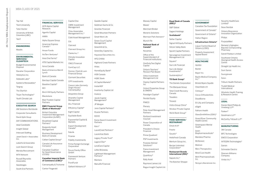#### MBA CLASS OF 2021

Top Hat

Trent University Tutor Doctor

University of British Columbia (UBC)

YaizY

**ENGINEERING**

Mazdis

#### **ENVIRONMENTAL SERVICES/ CLEANTECH**

Budget Environmental Disposal Danaher Corporation Heliolytics Inc. Sidewalk Labs\* Subterra Renewables\* Targray The Starfish

#### Trojan Technologies\* Youth Climate Lab

#### **EXECUTIVE SEARCH**

AM Solutions Worldwide Corporate Consultants David Aplin Goup DAY COMMUNICATIONS Ideal Candidate Insight Global Intercast Staffing Janet David + Associates Inc. Loberto & Associates Lock Search Group Meridia Recruitment MTA Network Russell Reynolds Associates Seedstages

Blackstone Blair Franklin Capital **Partners** 

South End Partners

### **FINANCIAL SERVICES**

ACR Alpine Capital Research

Agentis Capital AIMIA Alpha Square Group

Management Inc.\* Cidel Asset Management

Citi **Clairvest** 

Climate Innovation **Capital** 

American Express Canada \* Anson Funds ArcTern Ventures\* Area One Farms\* ATB Capital Markets Inc. Aviva Canada

Bank of America-Merrill Lynch Bank of Canada Barclays Capital Canada Baseline Capital\* BCI Birch Hill Equity Partners

#### **BMO Financial Group (Bank of Montreal)\***

British Columbia Investment Management Corporation (bcIMC)

Brookfield Capital Partners\*

Burgundy Asset Management

Business Development Bank of Canada

Callian Capital Group\* Canada Life Assurance Company\*

Canadian Coalition for Good Governance (CCGG)

**Canadian Imperial Bank of Commerce (CIBC)\***

Cannaroyalty & Trichome Cantor Fitzgerald

### Capital One

CBRE Investment Management Chou Associates

> OneSixtyTwo Digital **Capital**

Clairvest Group Inc. Clarke Inc.\*

CMLS Financial

ComCap LLC.

Connor, Clark & Lunn Financial Group

Cormark Securities

CPP Investments Cresco Labs (formerly Origin House/ Cannaroyalty)

Desjardins Group

Dhandho Capital Management

DLL Financial

Efficiency Capital\*

Eight Capital

Equitable Bank

Exponential Capital & Markets

Canada **Travelers Triovest** 

Export Development Canada\*

Fabriik

Ficanex Fidelity Investments

Firma Foreign Exchange

Corporation Forum Family Office GmbH

Framework Venture Partners

**FrontFundr** 

Galliant Advisors LP

Gazelle Capital Goldman Sachs & Co. Gravitas Financial Great Mountain Partners Great-West Life Green Court Capital Management

Greenhill & Co. GreenSky Capital Inc. Haywood Securities Inc.

HFG CHINA

Highland Creek Partners Hines

HomeEquity Bank\*

HSB Canada

HSBC Bank

iA Capital Markets\*

InstarAGF Inverlochy Capital Ltd

Invesco

Jacob Capital Management\*

JP Morgan

Juno Capital Partners\*

Kluane Partners

KOHO Korea Search Investment

**Partners** 

Koru\*

LaurelCrest Partners\*

Laurentian Bank

Legacy Private Trust\*

Legend Star\* LendCare Capital

Letko Brosseau

Lightheart Management Partners\*

Mantaro

Manulife Financial

Massey Capital Mawer Merchant Broker

Moneris Solutions

Morrison Park Advisors\* Munich Re

**National Bank of Canada\***

Novantas

Office of the Superintendent of Financial Institutions

Ontario Teachers' Pension Plan Board

Orbis Investment Management Ltd

Osprey Capital Partners Inc

Oxford Properties Group & OMERS

Paradigm Capital\*

Peridot Equity PIMCO

Plenary

Polar Asset Management Partners

Portland Investment Counsel

Power Corporation of Canada

President's Choice Financial

Prime Quadrant

PSP Investments

Purpose Advisor Solutions\*

Pzena Investment Management

Quantfury\*

Rally Asset

Raymond James Ltd

Rogue Insight Capital Ltd.

**Royal Bank of Canada** 

**(RBC)\***

S&P Global

Sagard Holdings **Scotiabank\***

Setter Capital

Signal Hill Equity Partners

Silicon Valley Bank Sprott Capital Partners Sprucegrove Investment Management Ltd

Square\*

Sun Life Financial Sun Life Global Investments\* Sustainalytics\* **TD Bank Group\***

The Daniels Corporation The Marquee Group Total Credit Recovery

Vistra Group China\* Windsor Private Capital World Bank Group\*

**FOOD SERVICES/ RESTAURANT** Chick-fil-A\* Freshii Gousto\*

HelloFresh Canada Mentum Group Inc. Recipe Unlimited Corporation\*

**Restaurant Brands International (RBI)\***

Saputo Inc.\*

The Butcher Shoppe

#### **GOVERNMENT**

Canadian Tax Foundation

Government of Canada\*

Government of Ontario\*

Halton Region

#### **Infrastructure Ontario\***

Liquor Control Board of Ontario (LCBO)

Property Assessment Appeal Board

#### **HEALTHCARE**

Apotex Baxter

 $Inc.*$ 

Bayer Inc. Baylis Medical Company

Bristol Myers Squibb

CleanSlate UV

Cohesys\*

Corus Orthodontists

DoseBiome

Eli Lilly and Company

eSight

Fathom Health

GlaxoSmithKline (GSK)\*

Grand River Community Health Centre

Greenspace Mental

Health Ipsen

Biopharmaceuticals\*

Mandara Pharma

McKesson

Medcan

Merz Therapeutics

Mind Cure Health

Mint Pharmaceuticals

Inc.

Nicoya Lifesciences Inc.

Novartis HealthCare Limited\*

Novo Nordisk

Ontario Bioscience Innovation Organization

Philips

PurposeMed

Remedy's Eglington Bayview Compounding Pharmacy

Sanofi Pasteur Limited

Southwest Ontario Aboriginal Health Access Centre

Straight Up Health Inc.

Sum Sanos

Sunnybrook

Szio+

Trillium Health Partners

Trudell Medical International

Wholistic Health Training & Research Centre

#### **LEGAL**

Davies Ward Phillips & Vineberg LLP\*

Fasken\*

Goodmans LLP\*

McCarthy Tétrault LLP\*

#### **MANUFACTURING**

3M Canada BFC Technologies EMCO Corporation INTEGRA Technologies\* Sansin Schneider Electric Sherwin-Williams Company Vintex Inc.\*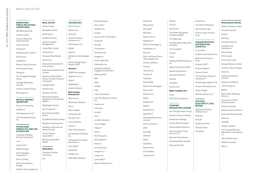| <b>MARKETING/</b>        |
|--------------------------|
| <b>PUBLIC RELATIONS/</b> |
| <b>ADVERTISING</b>       |
|                          |

BondBrandLoyalty Clients Loyalty

Hivestack\*

Kaleidoscope Content

Klick Group

LoyaltyOne

Mosaic Sales Solutions

New Market Group

Perpetua

The Thoughtful Design Group

Vantage Marketing Canada

Victory Creative Group

Wa Happa Inc.

#### **METALS/MINING/ QUARRYING**

Dumas Contracting

IAMGOLD

Teck Resources Ltd.\*

The Giampaolo Group Inc.

#### **PETROLEUM/ ENERGY/OIL AND GAS EXTRACTION**

Canadian RiteRate Energy Corporation

e-Zn

Imperial Oil

Moltex Energy

Next Hydrogen Corporation

Nexus Energy

Seven Generations Energy

Validere Technologies Inc.

### **REAL ESTATE** Avison Young

BentallGreenOak BuyProperly Cadillac Fairview CanFirst Capital Management Carpe Diem Suites **CentreCourt** Crespoint Real Estate

Devencore Diamante Development

Corporation\* Edenshaw Developments Limited

Greenrock Real Estate Advisors/Green Group of Companies

Kipling Group\* Kitchen Hub

Mattamy Homes

Municipal Property Assessment Corporation (MPAC)

Nightingale Group\*

One Properties Pure Industrial Real

Estate

QuadReal Property Group

Republic Developments Sotheby's International

Realty Canada

Transit Capital Corporation

Well Grounded Real Estate **RESEARCH** Labatories CPI

Canadian Nuclear

**TECHNOLOGY**

24/7 Intouch\* 51jobs.com Abersoft

Acerta Analytics Solutions Inc.\* Ada Support Inc. **Telesat** TELUS\* tenstorrent

Adobe Agorize

Alphavima Technologies Inc

Always Designing for People (ADP)

**Amazon\*** AOMS Technologies

Appficiency Inc. Apple\*

ApplyBoard

**Bell Canada Enterprises\***

BicDroid Inc. Blackhawk Network bld.ai Boss Insights CarfaxCanada

Avanti Software Ceridian Ltd.\* Constellation Software Creospark Consulting

Cisco Systems

Clearco\* Clear Path Robotics

Inc.

Services Inc. Dark Slope\*

Databook\* Datakite Inc

Delbridge Solutions

Diebold Nixdorf Door Dash\* DSGNFy Inc. ecobee

Ecopia Tech Corporation

Facebook FactSet

Freshbooks\* Get ResQ Ltd. Google Inc.

Green Apple Pay

Hackworks Inc HealthHub Patient Engagement Solutions **HRdownloads** IBM Ideal iLobby\* Infor Informal Systems Info-Tech Research Group Inc. Inside.com IntroHive Ionland Irwin Jiraftek Solutions Juno College Kaleyra\* Karrot Klick Inc. League Inc.\* Loopio Inc.

KEV Group Inc. Kira Systems\* Konrad Group Lynk Global\*

Mannin Research Inc

Mavennet MeazureUp Microsoft\* Mikutech

Nanocnet Ltd Neighbourli NERv Technology Inc. NestReady Inc. NiceJob Nuvis Ventures (Nuvis Technologies Inc) Omatic Software Omlove Optimity Inc. Overbond PatSnap\* RCATSONE RedIron Technologies Reprisk AG Resolver Inc. Riipen Roadmunk\* Rogers Royaltymine Salesforce\* Samsung Electronics Canada SAP Canada Inc.\* Shift Shomigo Shopify\* Skillz\* **StealthCo** Supervisa.ai

SV Academy Taptap Send The Better Navigation Company (BNC)

The Bogo App The Reynolds & Reynolds Company Thrive Health\* TikTok\* Trvlar US BeerSAVERS Systems Inc. Valence (Formerly Shift) Valsoft Corporation Varicent Software\* Vidyard Voiceflow Voices.com\* **Wipro Canada Ltd.\***

Xerox ZTR Control Systems

#### **TOURISM/ RECREATION/LEISURE**

Ace Transportation Group Easton's Group of Hotels Enterprise Holdings Fitness World Canada\* Hilton Hotels & Resorts Jerry Van Dyke Travel Service LTD Marriott International Quintessentially Canada

Sequoia Records

Employment Report **22 / Ivey MBA Employment Report MBA** Ivey

 $\overline{\phantom{0}}$  $\tilde{a}$ 

SnapTravel

The After 30 Podcast Toronto Blue Jays Toronto Garlic Festival

Corp

#### **TRANSPORTATION/ DISTRIBUTION/ LOGISTICS**

Air Canada Guillevin International Co. Microcad Computer

Corp.

Orkestra SCS\* Penske Logistics Second Closet The Lenbrook Group of Companies\* Torq Energy Logistics Ltd.

Vinzan International Inc. Vortex Freight

WestJet Airlines Ltd.\*

**UTILITIES WATER)**

## **(ELECTRICITY, GAS,**

Algonquin Power & Utilities Corp.\*

Enercare EPCOR Northland Power

Toronto Hydro TransAlta\*

#### **WHOLESALE/RETAIL**

Adidas Canada Limited

Aramark Canada

Aritzia\*

Best Buy

Canada Goose Inc.

Canadian Tire Corporation

Daraz Group

EVS Canada

Fruit of the Loom

George Weston Limited

Hudson's Bay Company

Koda Co.

Loblaw Companies Limited\*

lululemon athletica

LXR Canada Inc

Mattel

Miss To Mrs Wedding Gifts Inc.

Once Upon A Child - Toronto Leaside

Pandora Canada

Reliance Home Comfort

Riverside Natural Foods

Sephora

SSENSE

Staples Canada

TJX Canada/Winners Merchants International L.P.

Valor Distributions

Walmart Canada

Well.ca